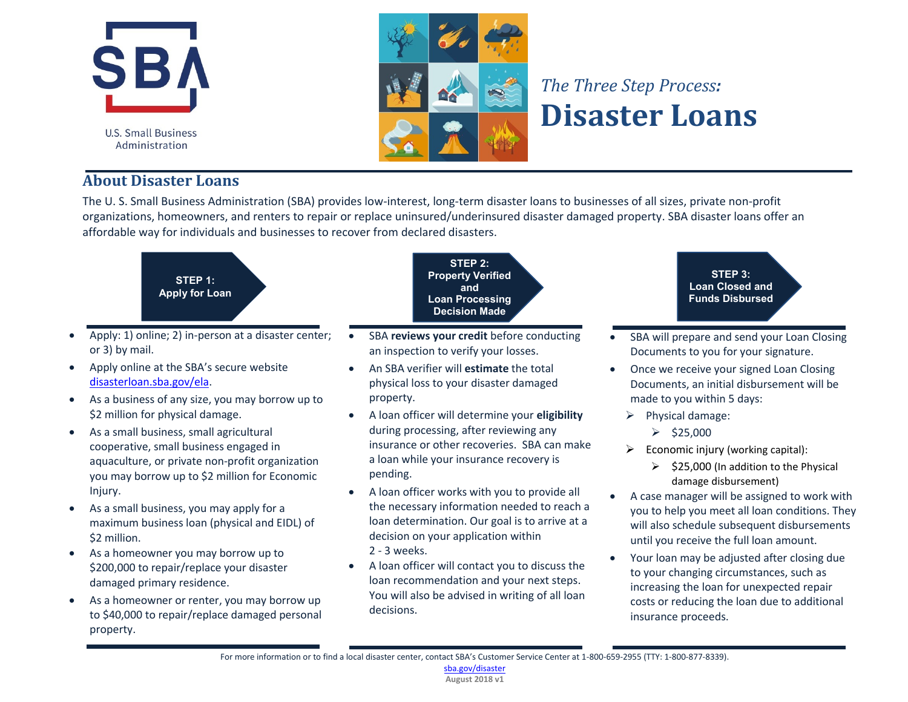



## *The Three Step Process:* **Disaster Loans**

## **About Disaster Loans**

The U. S. Small Business Administration (SBA) provides low-interest, long-term disaster loans to businesses of all sizes, private non-profit organizations, homeowners, and renters to repair or replace uninsured/underinsured disaster damaged property. SBA disaster loans offer an affordable way for individuals and businesses to recover from declared disasters.



- Apply: 1) online; 2) in-person at a disaster center; or 3) by mail.
- Apply online at the SBA's secure website disasterloan.sba.gov/ela.
- As a business of any size, you may borrow up to \$2 million for physical damage.
- As a small business, small agricultural cooperative, small business engaged in aquaculture, or private non-profit organization you may borrow up to \$2 million for Economic Injury.
- $\bullet$  As a small business, you may apply for a maximum business loan (physical and EIDL) of \$2 million.
- As a homeowner you may borrow up to \$200,000 to repair/replace your disaster damaged primary residence.
- As a homeowner or renter, you may borrow up to \$40,000 to repair/replace damaged personal property.

**STEP 2: Property Verified and Loan Processing Decision Made**

- SBA reviews your credit before conducting an inspection to verify your losses.
- x An SBA verifier will **estimate** the total physical loss to your disaster damaged property.
- x A loan officer will determine your **eligibility** during processing, after reviewing any insurance or other recoveries. SBA can make a loan while your insurance recovery is pending.
- x A loan officer works with you to provide all the necessary information needed to reach a loan determination. Our goal is to arrive at a decision on your application within 2 - 3 weeks.
- A loan officer will contact you to discuss the loan recommendation and your next steps. You will also be advised in writing of all loan decisions.

**STEP 3: Loan Closed and Funds Disbursed**

- SBA will prepare and send your Loan Closing Documents to you for your signature.
- Once we receive your signed Loan Closing Documents, an initial disbursement will be made to you within 5 days:
	- $\triangleright$  Physical damage:
		- $\geq$  \$25,000
	- $\triangleright$  Economic injury (working capital):
		- $\geq$  \$25,000 (In addition to the Physical damage disbursement)
- A case manager will be assigned to work with you to help you meet all loan conditions. They will also schedule subsequent disbursements until you receive the full loan amount.
- Your loan may be adjusted after closing due to your changing circumstances, such as increasing the loan for unexpected repair costs or reducing the loan due to additional insurance proceeds.